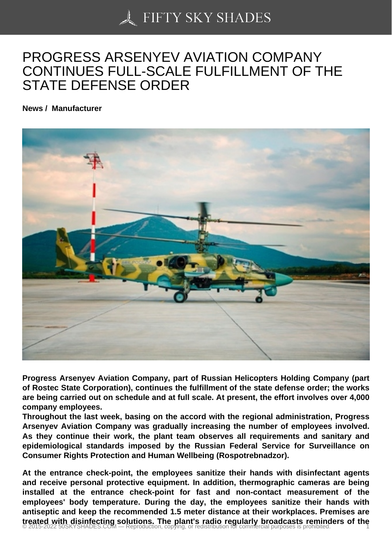## [PROGRESS ARSENY](https://50skyshades.com)EV AVIATION COMPANY CONTINUES FULL-SCALE FULFILLMENT OF THE STATE DEFENSE ORDER

News / Manufacturer

Progress Arsenyev Aviation Company, part of Russian Helicopters Holding Company (part of Rostec State Corporation), continues the fulfillment of the state defense order; the works are being carried out on schedule and at full scale. At present, the effort involves over 4,000 company employees.

Throughout the last week, basing on the accord with the regional administration, Progress Arsenyev Aviation Company was gradually increasing the number of employees involved. As they continue their work, the plant team observes all requirements and sanitary and epidemiological standards imposed by the Russian Federal Service for Surveillance on Consumer Rights Protection and Human Wellbeing (Rospotrebnadzor).

At the entrance check-point, the employees sanitize their hands with disinfectant agents and receive personal protective equipment. In addition, thermographic cameras are being installed at the entrance check-point for fast and non-contact measurement of the employees' body temperature. During the day, the employees sanitize their hands with antiseptic and keep the recommended 1.5 meter distance at their workplaces. Premises are treated with disinfecting solutions. The plant's radio regularly broadcasts reminders of the interest of the man<br>© 2015-2022 50SKYSHADES.COM — Reproduction, copying, or redistribution for commercial purposes is prohibited.